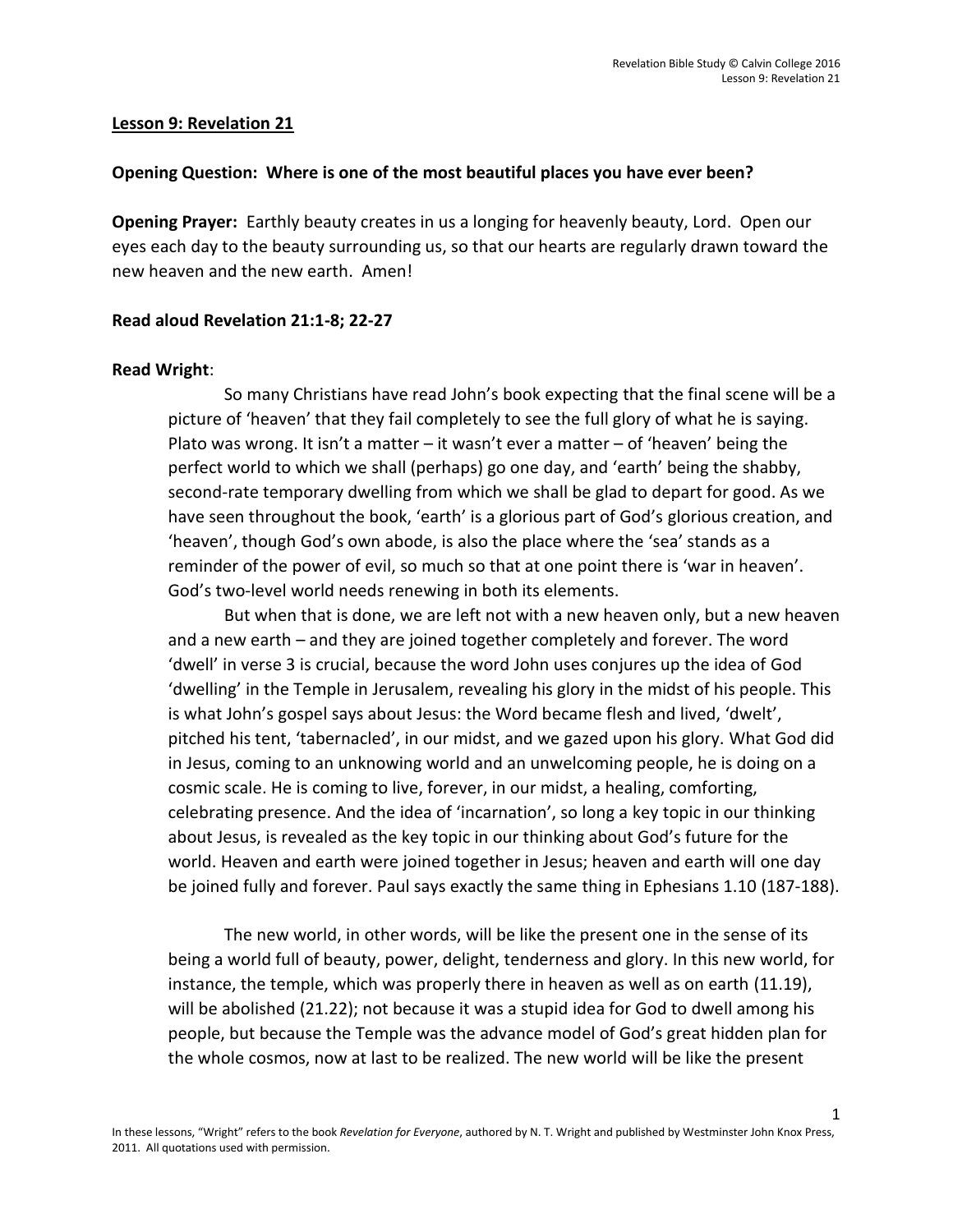### **Lesson 9: Revelation 21**

### **Opening Question: Where is one of the most beautiful places you have ever been?**

**Opening Prayer:** Earthly beauty creates in us a longing for heavenly beauty, Lord. Open our eyes each day to the beauty surrounding us, so that our hearts are regularly drawn toward the new heaven and the new earth. Amen!

## **Read aloud Revelation 21:1-8; 22-27**

## **Read Wright**:

So many Christians have read John's book expecting that the final scene will be a picture of 'heaven' that they fail completely to see the full glory of what he is saying. Plato was wrong. It isn't a matter – it wasn't ever a matter – of 'heaven' being the perfect world to which we shall (perhaps) go one day, and 'earth' being the shabby, second-rate temporary dwelling from which we shall be glad to depart for good. As we have seen throughout the book, 'earth' is a glorious part of God's glorious creation, and 'heaven', though God's own abode, is also the place where the 'sea' stands as a reminder of the power of evil, so much so that at one point there is 'war in heaven'. God's two-level world needs renewing in both its elements.

But when that is done, we are left not with a new heaven only, but a new heaven and a new earth – and they are joined together completely and forever. The word 'dwell' in verse 3 is crucial, because the word John uses conjures up the idea of God 'dwelling' in the Temple in Jerusalem, revealing his glory in the midst of his people. This is what John's gospel says about Jesus: the Word became flesh and lived, 'dwelt', pitched his tent, 'tabernacled', in our midst, and we gazed upon his glory. What God did in Jesus, coming to an unknowing world and an unwelcoming people, he is doing on a cosmic scale. He is coming to live, forever, in our midst, a healing, comforting, celebrating presence. And the idea of 'incarnation', so long a key topic in our thinking about Jesus, is revealed as the key topic in our thinking about God's future for the world. Heaven and earth were joined together in Jesus; heaven and earth will one day be joined fully and forever. Paul says exactly the same thing in Ephesians 1.10 (187-188).

The new world, in other words, will be like the present one in the sense of its being a world full of beauty, power, delight, tenderness and glory. In this new world, for instance, the temple, which was properly there in heaven as well as on earth (11.19), will be abolished (21.22); not because it was a stupid idea for God to dwell among his people, but because the Temple was the advance model of God's great hidden plan for the whole cosmos, now at last to be realized. The new world will be like the present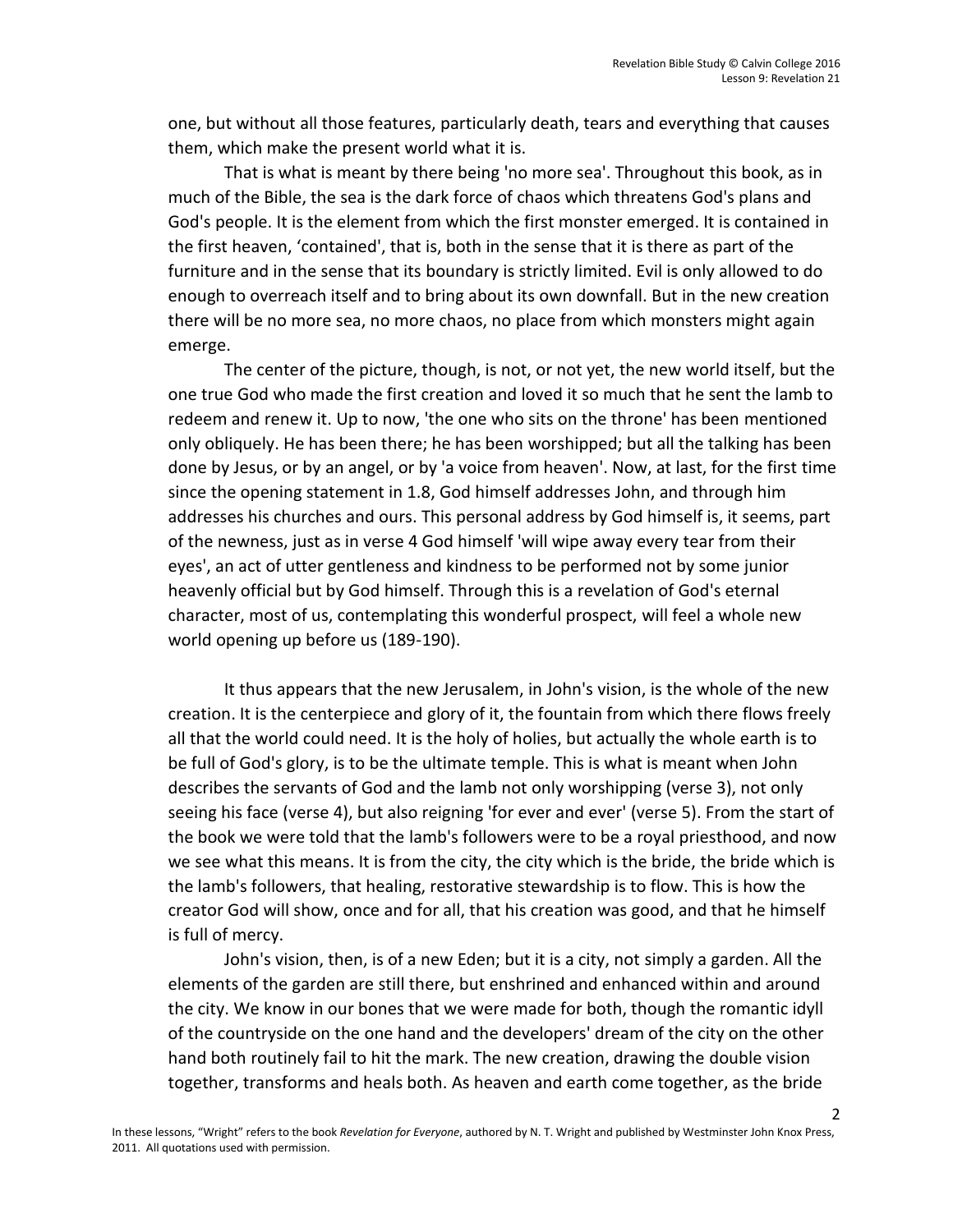one, but without all those features, particularly death, tears and everything that causes them, which make the present world what it is.

That is what is meant by there being 'no more sea'. Throughout this book, as in much of the Bible, the sea is the dark force of chaos which threatens God's plans and God's people. It is the element from which the first monster emerged. It is contained in the first heaven, 'contained', that is, both in the sense that it is there as part of the furniture and in the sense that its boundary is strictly limited. Evil is only allowed to do enough to overreach itself and to bring about its own downfall. But in the new creation there will be no more sea, no more chaos, no place from which monsters might again emerge.

The center of the picture, though, is not, or not yet, the new world itself, but the one true God who made the first creation and loved it so much that he sent the lamb to redeem and renew it. Up to now, 'the one who sits on the throne' has been mentioned only obliquely. He has been there; he has been worshipped; but all the talking has been done by Jesus, or by an angel, or by 'a voice from heaven'. Now, at last, for the first time since the opening statement in 1.8, God himself addresses John, and through him addresses his churches and ours. This personal address by God himself is, it seems, part of the newness, just as in verse 4 God himself 'will wipe away every tear from their eyes', an act of utter gentleness and kindness to be performed not by some junior heavenly official but by God himself. Through this is a revelation of God's eternal character, most of us, contemplating this wonderful prospect, will feel a whole new world opening up before us (189-190).

It thus appears that the new Jerusalem, in John's vision, is the whole of the new creation. It is the centerpiece and glory of it, the fountain from which there flows freely all that the world could need. It is the holy of holies, but actually the whole earth is to be full of God's glory, is to be the ultimate temple. This is what is meant when John describes the servants of God and the lamb not only worshipping (verse 3), not only seeing his face (verse 4), but also reigning 'for ever and ever' (verse 5). From the start of the book we were told that the lamb's followers were to be a royal priesthood, and now we see what this means. It is from the city, the city which is the bride, the bride which is the lamb's followers, that healing, restorative stewardship is to flow. This is how the creator God will show, once and for all, that his creation was good, and that he himself is full of mercy.

John's vision, then, is of a new Eden; but it is a city, not simply a garden. All the elements of the garden are still there, but enshrined and enhanced within and around the city. We know in our bones that we were made for both, though the romantic idyll of the countryside on the one hand and the developers' dream of the city on the other hand both routinely fail to hit the mark. The new creation, drawing the double vision together, transforms and heals both. As heaven and earth come together, as the bride